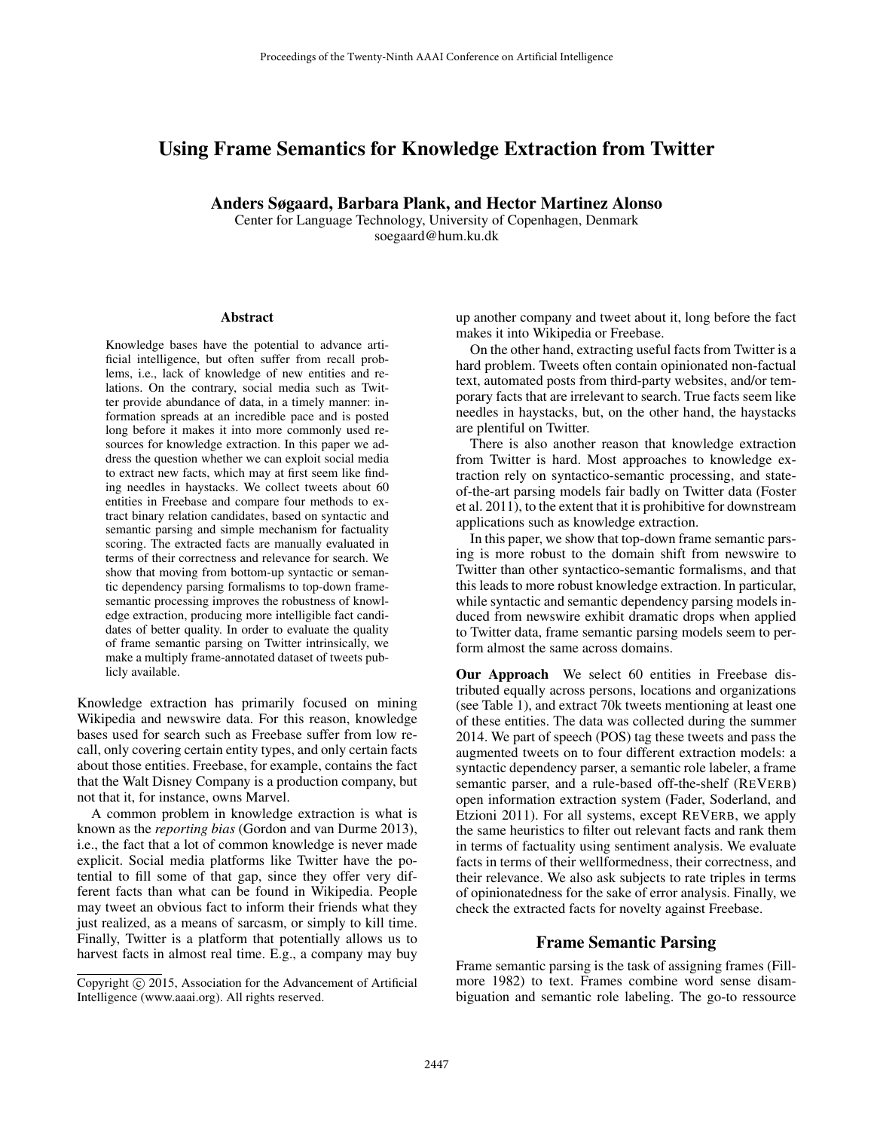# Using Frame Semantics for Knowledge Extraction from Twitter

Anders Søgaard, Barbara Plank, and Hector Martinez Alonso

Center for Language Technology, University of Copenhagen, Denmark soegaard@hum.ku.dk

#### Abstract

Knowledge bases have the potential to advance artificial intelligence, but often suffer from recall problems, i.e., lack of knowledge of new entities and relations. On the contrary, social media such as Twitter provide abundance of data, in a timely manner: information spreads at an incredible pace and is posted long before it makes it into more commonly used resources for knowledge extraction. In this paper we address the question whether we can exploit social media to extract new facts, which may at first seem like finding needles in haystacks. We collect tweets about 60 entities in Freebase and compare four methods to extract binary relation candidates, based on syntactic and semantic parsing and simple mechanism for factuality scoring. The extracted facts are manually evaluated in terms of their correctness and relevance for search. We show that moving from bottom-up syntactic or semantic dependency parsing formalisms to top-down framesemantic processing improves the robustness of knowledge extraction, producing more intelligible fact candidates of better quality. In order to evaluate the quality of frame semantic parsing on Twitter intrinsically, we make a multiply frame-annotated dataset of tweets publicly available.

Knowledge extraction has primarily focused on mining Wikipedia and newswire data. For this reason, knowledge bases used for search such as Freebase suffer from low recall, only covering certain entity types, and only certain facts about those entities. Freebase, for example, contains the fact that the Walt Disney Company is a production company, but not that it, for instance, owns Marvel.

A common problem in knowledge extraction is what is known as the *reporting bias* (Gordon and van Durme 2013), i.e., the fact that a lot of common knowledge is never made explicit. Social media platforms like Twitter have the potential to fill some of that gap, since they offer very different facts than what can be found in Wikipedia. People may tweet an obvious fact to inform their friends what they just realized, as a means of sarcasm, or simply to kill time. Finally, Twitter is a platform that potentially allows us to harvest facts in almost real time. E.g., a company may buy

up another company and tweet about it, long before the fact makes it into Wikipedia or Freebase.

On the other hand, extracting useful facts from Twitter is a hard problem. Tweets often contain opinionated non-factual text, automated posts from third-party websites, and/or temporary facts that are irrelevant to search. True facts seem like needles in haystacks, but, on the other hand, the haystacks are plentiful on Twitter.

There is also another reason that knowledge extraction from Twitter is hard. Most approaches to knowledge extraction rely on syntactico-semantic processing, and stateof-the-art parsing models fair badly on Twitter data (Foster et al. 2011), to the extent that it is prohibitive for downstream applications such as knowledge extraction.

In this paper, we show that top-down frame semantic parsing is more robust to the domain shift from newswire to Twitter than other syntactico-semantic formalisms, and that this leads to more robust knowledge extraction. In particular, while syntactic and semantic dependency parsing models induced from newswire exhibit dramatic drops when applied to Twitter data, frame semantic parsing models seem to perform almost the same across domains.

Our Approach We select 60 entities in Freebase distributed equally across persons, locations and organizations (see Table 1), and extract 70k tweets mentioning at least one of these entities. The data was collected during the summer 2014. We part of speech (POS) tag these tweets and pass the augmented tweets on to four different extraction models: a syntactic dependency parser, a semantic role labeler, a frame semantic parser, and a rule-based off-the-shelf (REVERB) open information extraction system (Fader, Soderland, and Etzioni 2011). For all systems, except REVERB, we apply the same heuristics to filter out relevant facts and rank them in terms of factuality using sentiment analysis. We evaluate facts in terms of their wellformedness, their correctness, and their relevance. We also ask subjects to rate triples in terms of opinionatedness for the sake of error analysis. Finally, we check the extracted facts for novelty against Freebase.

#### Frame Semantic Parsing

Frame semantic parsing is the task of assigning frames (Fillmore 1982) to text. Frames combine word sense disambiguation and semantic role labeling. The go-to ressource

Copyright  $\odot$  2015, Association for the Advancement of Artificial Intelligence (www.aaai.org). All rights reserved.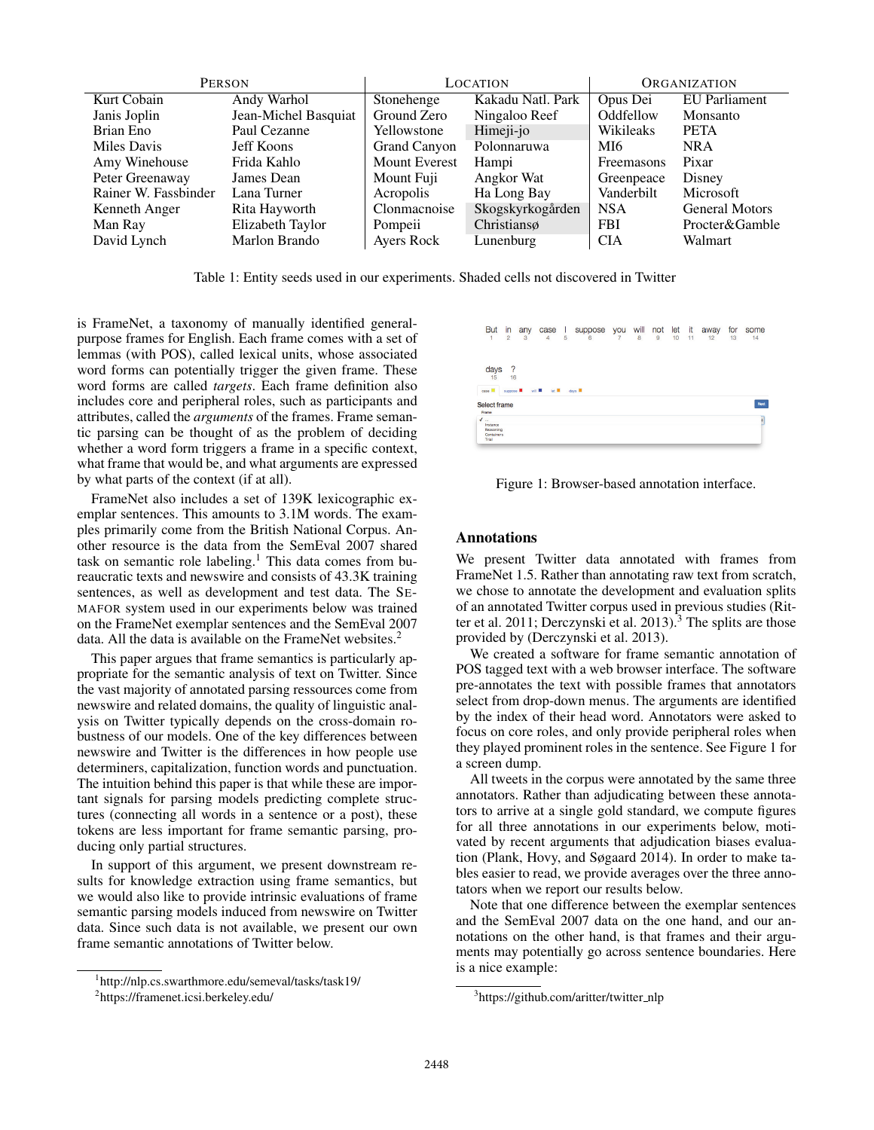|                      | <b>PERSON</b>        |                      | LOCATION          | <b>ORGANIZATION</b> |                       |  |
|----------------------|----------------------|----------------------|-------------------|---------------------|-----------------------|--|
| Kurt Cobain          | Andy Warhol          | Stonehenge           | Kakadu Natl. Park | Opus Dei            | <b>EU</b> Parliament  |  |
| Janis Joplin         | Jean-Michel Basquiat | Ground Zero          | Ningaloo Reef     | Oddfellow           | Monsanto              |  |
| Brian Eno            | Paul Cezanne         | Yellowstone          | Himeji-jo         | Wikileaks           | <b>PETA</b>           |  |
| Miles Davis          | <b>Jeff Koons</b>    | Grand Canyon         | Polonnaruwa       | MI6                 | <b>NRA</b>            |  |
| Amy Winehouse        | Frida Kahlo          | <b>Mount Everest</b> | Hampi             | Freemasons          | Pixar                 |  |
| Peter Greenaway      | James Dean           | Mount Fuji           | Angkor Wat        | Greenpeace          | Disney                |  |
| Rainer W. Fassbinder | Lana Turner          | Acropolis            | Ha Long Bay       | Vanderbilt          | Microsoft             |  |
| Kenneth Anger        | Rita Hayworth        | Clonmacnoise         | Skogskyrkogården  | <b>NSA</b>          | <b>General Motors</b> |  |
| Man Ray              | Elizabeth Taylor     | Pompeii              | Christiansø       | <b>FBI</b>          | Procter&Gamble        |  |
| David Lynch          | Marlon Brando        | Ayers Rock           | Lunenburg         | <b>CIA</b>          | Walmart               |  |

Table 1: Entity seeds used in our experiments. Shaded cells not discovered in Twitter

is FrameNet, a taxonomy of manually identified generalpurpose frames for English. Each frame comes with a set of lemmas (with POS), called lexical units, whose associated word forms can potentially trigger the given frame. These word forms are called *targets*. Each frame definition also includes core and peripheral roles, such as participants and attributes, called the *arguments* of the frames. Frame semantic parsing can be thought of as the problem of deciding whether a word form triggers a frame in a specific context, what frame that would be, and what arguments are expressed by what parts of the context (if at all).

FrameNet also includes a set of 139K lexicographic exemplar sentences. This amounts to 3.1M words. The examples primarily come from the British National Corpus. Another resource is the data from the SemEval 2007 shared task on semantic role labeling.<sup>1</sup> This data comes from bureaucratic texts and newswire and consists of 43.3K training sentences, as well as development and test data. The SE-MAFOR system used in our experiments below was trained on the FrameNet exemplar sentences and the SemEval 2007 data. All the data is available on the FrameNet websites.<sup>2</sup>

This paper argues that frame semantics is particularly appropriate for the semantic analysis of text on Twitter. Since the vast majority of annotated parsing ressources come from newswire and related domains, the quality of linguistic analysis on Twitter typically depends on the cross-domain robustness of our models. One of the key differences between newswire and Twitter is the differences in how people use determiners, capitalization, function words and punctuation. The intuition behind this paper is that while these are important signals for parsing models predicting complete structures (connecting all words in a sentence or a post), these tokens are less important for frame semantic parsing, producing only partial structures.

In support of this argument, we present downstream results for knowledge extraction using frame semantics, but we would also like to provide intrinsic evaluations of frame semantic parsing models induced from newswire on Twitter data. Since such data is not available, we present our own frame semantic annotations of Twitter below.

| <b>But</b><br>۰<br>н.                                        | in<br>$\overline{2}$          | any<br>3 | case<br>4                  | Ш<br>5 | suppose<br>6    | you<br>$\overline{7}$ | will<br>8 | not<br>9 | let<br>10 | it.<br>11 | away<br>12 | for<br>13 | some<br>14 |
|--------------------------------------------------------------|-------------------------------|----------|----------------------------|--------|-----------------|-----------------------|-----------|----------|-----------|-----------|------------|-----------|------------|
| days<br>15<br>case <b>III</b>                                | ?<br>16<br>suppose <b>III</b> |          | let III<br>will <b>III</b> |        | days <b>III</b> |                       |           |          |           |           |            |           |            |
| Select frame<br>Frame                                        |                               |          |                            |        |                 |                       |           |          |           |           |            |           | Naxt       |
| $\checkmark$<br>Instance<br>Reasoning<br>Containers<br>Trial |                               |          |                            |        |                 |                       |           |          |           |           |            |           | H          |

Figure 1: Browser-based annotation interface.

#### Annotations

We present Twitter data annotated with frames from FrameNet 1.5. Rather than annotating raw text from scratch, we chose to annotate the development and evaluation splits of an annotated Twitter corpus used in previous studies (Ritter et al. 2011; Derczynski et al. 2013).<sup>3</sup> The splits are those provided by (Derczynski et al. 2013).

We created a software for frame semantic annotation of POS tagged text with a web browser interface. The software pre-annotates the text with possible frames that annotators select from drop-down menus. The arguments are identified by the index of their head word. Annotators were asked to focus on core roles, and only provide peripheral roles when they played prominent roles in the sentence. See Figure 1 for a screen dump.

All tweets in the corpus were annotated by the same three annotators. Rather than adjudicating between these annotators to arrive at a single gold standard, we compute figures for all three annotations in our experiments below, motivated by recent arguments that adjudication biases evaluation (Plank, Hovy, and Søgaard 2014). In order to make tables easier to read, we provide averages over the three annotators when we report our results below.

Note that one difference between the exemplar sentences and the SemEval 2007 data on the one hand, and our annotations on the other hand, is that frames and their arguments may potentially go across sentence boundaries. Here is a nice example:

<sup>1</sup> http://nlp.cs.swarthmore.edu/semeval/tasks/task19/

<sup>2</sup> https://framenet.icsi.berkeley.edu/

<sup>&</sup>lt;sup>3</sup>https://github.com/aritter/twitter\_nlp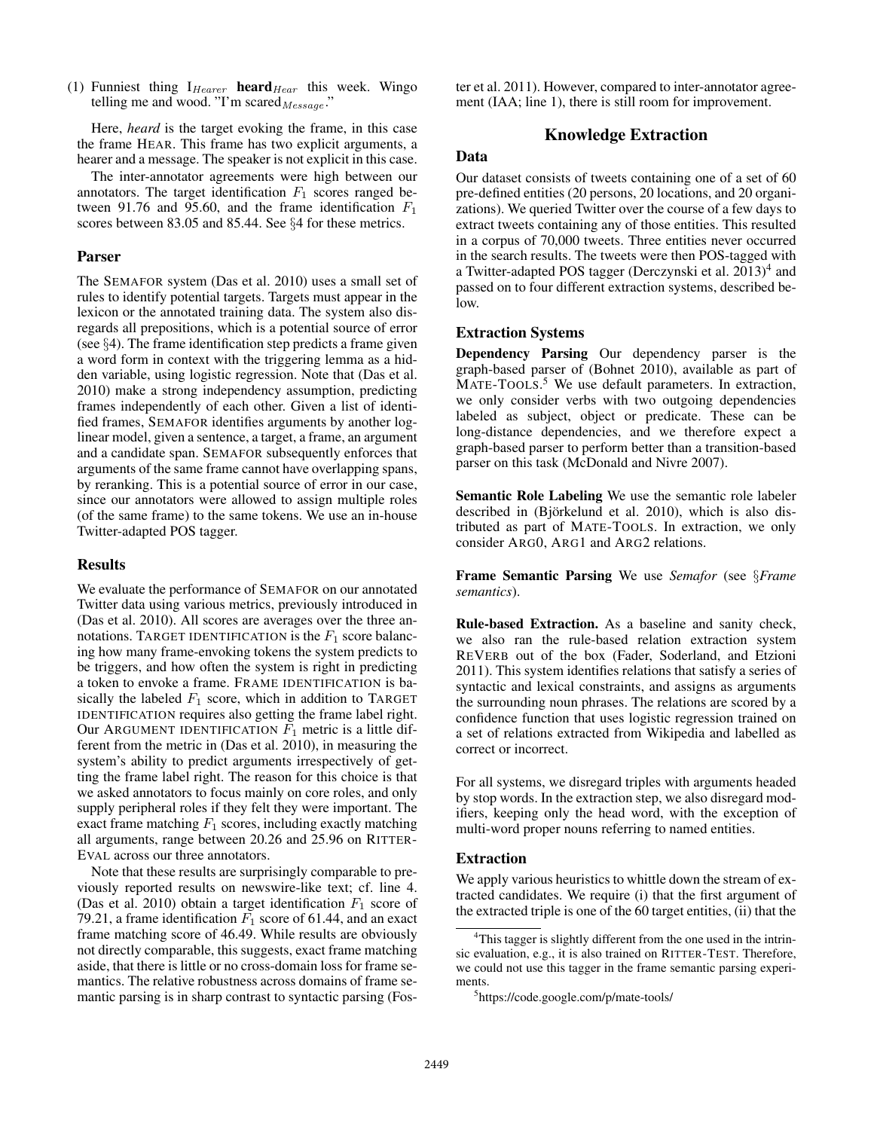(1) Funniest thing  $I_{Hearer}$  heard $_{Hear}$  this week. Wingo telling me and wood. "I'm scared $_{Message}$ ."

Here, *heard* is the target evoking the frame, in this case the frame HEAR. This frame has two explicit arguments, a hearer and a message. The speaker is not explicit in this case.

The inter-annotator agreements were high between our annotators. The target identification  $F_1$  scores ranged between 91.76 and 95.60, and the frame identification  $F_1$ scores between 83.05 and 85.44. See §4 for these metrics.

# Parser

The SEMAFOR system (Das et al. 2010) uses a small set of rules to identify potential targets. Targets must appear in the lexicon or the annotated training data. The system also disregards all prepositions, which is a potential source of error (see §4). The frame identification step predicts a frame given a word form in context with the triggering lemma as a hidden variable, using logistic regression. Note that (Das et al. 2010) make a strong independency assumption, predicting frames independently of each other. Given a list of identified frames, SEMAFOR identifies arguments by another loglinear model, given a sentence, a target, a frame, an argument and a candidate span. SEMAFOR subsequently enforces that arguments of the same frame cannot have overlapping spans, by reranking. This is a potential source of error in our case, since our annotators were allowed to assign multiple roles (of the same frame) to the same tokens. We use an in-house Twitter-adapted POS tagger.

### Results

We evaluate the performance of SEMAFOR on our annotated Twitter data using various metrics, previously introduced in (Das et al. 2010). All scores are averages over the three annotations. TARGET IDENTIFICATION is the  $F_1$  score balancing how many frame-envoking tokens the system predicts to be triggers, and how often the system is right in predicting a token to envoke a frame. FRAME IDENTIFICATION is basically the labeled  $F_1$  score, which in addition to TARGET IDENTIFICATION requires also getting the frame label right. Our ARGUMENT IDENTIFICATION  $F_1$  metric is a little different from the metric in (Das et al. 2010), in measuring the system's ability to predict arguments irrespectively of getting the frame label right. The reason for this choice is that we asked annotators to focus mainly on core roles, and only supply peripheral roles if they felt they were important. The exact frame matching  $F_1$  scores, including exactly matching all arguments, range between 20.26 and 25.96 on RITTER-EVAL across our three annotators.

Note that these results are surprisingly comparable to previously reported results on newswire-like text; cf. line 4. (Das et al. 2010) obtain a target identification  $F_1$  score of 79.21, a frame identification  $F_1$  score of 61.44, and an exact frame matching score of 46.49. While results are obviously not directly comparable, this suggests, exact frame matching aside, that there is little or no cross-domain loss for frame semantics. The relative robustness across domains of frame semantic parsing is in sharp contrast to syntactic parsing (Foster et al. 2011). However, compared to inter-annotator agreement (IAA; line 1), there is still room for improvement.

# Knowledge Extraction

# Data

Our dataset consists of tweets containing one of a set of 60 pre-defined entities (20 persons, 20 locations, and 20 organizations). We queried Twitter over the course of a few days to extract tweets containing any of those entities. This resulted in a corpus of 70,000 tweets. Three entities never occurred in the search results. The tweets were then POS-tagged with a Twitter-adapted POS tagger (Derczynski et al. 2013)<sup>4</sup> and passed on to four different extraction systems, described below.

### Extraction Systems

Dependency Parsing Our dependency parser is the graph-based parser of (Bohnet 2010), available as part of MATE-TOOLS.<sup>5</sup> We use default parameters. In extraction, we only consider verbs with two outgoing dependencies labeled as subject, object or predicate. These can be long-distance dependencies, and we therefore expect a graph-based parser to perform better than a transition-based parser on this task (McDonald and Nivre 2007).

Semantic Role Labeling We use the semantic role labeler described in (Björkelund et al. 2010), which is also distributed as part of MATE-TOOLS. In extraction, we only consider ARG0, ARG1 and ARG2 relations.

Frame Semantic Parsing We use *Semafor* (see §*Frame semantics*).

Rule-based Extraction. As a baseline and sanity check, we also ran the rule-based relation extraction system REVERB out of the box (Fader, Soderland, and Etzioni 2011). This system identifies relations that satisfy a series of syntactic and lexical constraints, and assigns as arguments the surrounding noun phrases. The relations are scored by a confidence function that uses logistic regression trained on a set of relations extracted from Wikipedia and labelled as correct or incorrect.

For all systems, we disregard triples with arguments headed by stop words. In the extraction step, we also disregard modifiers, keeping only the head word, with the exception of multi-word proper nouns referring to named entities.

### Extraction

We apply various heuristics to whittle down the stream of extracted candidates. We require (i) that the first argument of the extracted triple is one of the 60 target entities, (ii) that the

<sup>&</sup>lt;sup>4</sup>This tagger is slightly different from the one used in the intrinsic evaluation, e.g., it is also trained on RITTER-TEST. Therefore, we could not use this tagger in the frame semantic parsing experiments.

<sup>5</sup> https://code.google.com/p/mate-tools/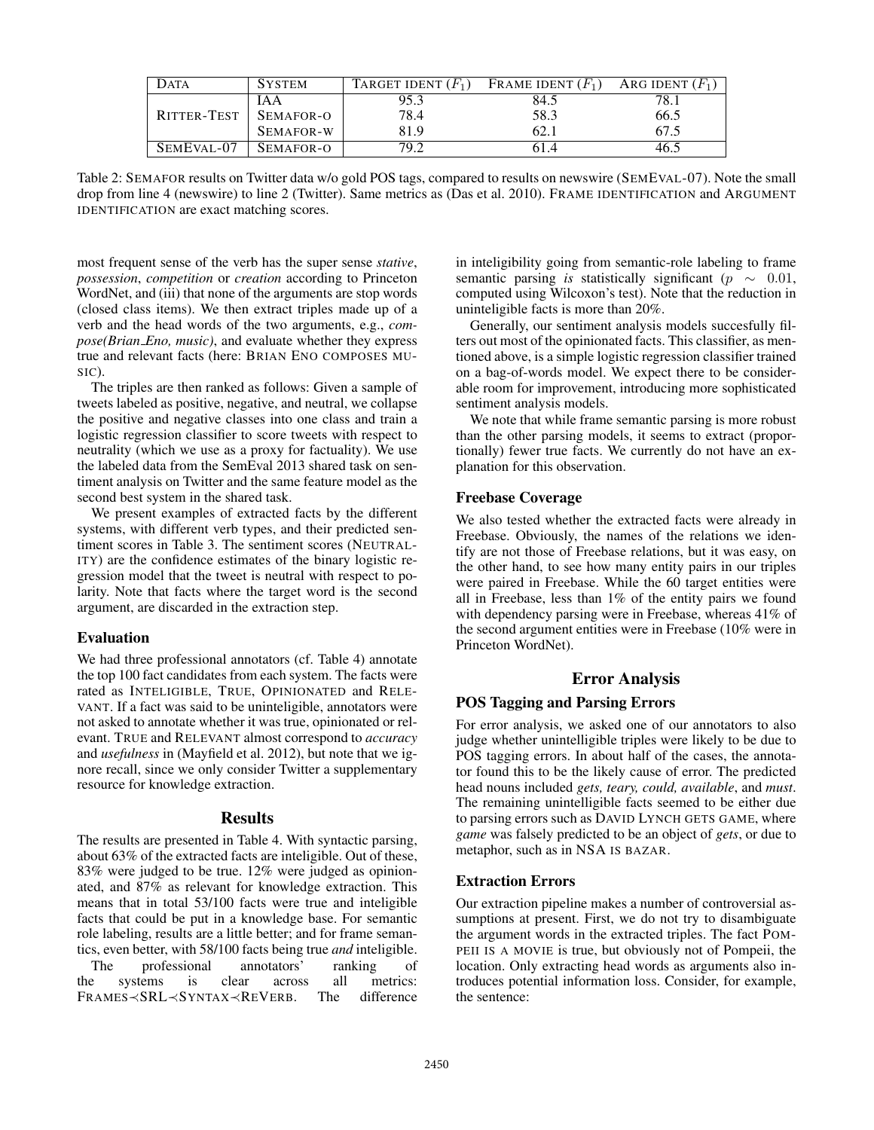| Data        | <b>SYSTEM</b> | TARGET IDENT $(F_1)$ | FRAME IDENT $(F_1)$ | ARG IDENT $(F_1)$ |
|-------------|---------------|----------------------|---------------------|-------------------|
|             | IA A          | 95.3                 | 84.5                |                   |
| RITTER-TEST | SEMAFOR-O     | 78.4                 | 58.3                | 66.5              |
|             | SEMAFOR-W     | 81.9                 | 62.                 |                   |
| SEMEVAL-07  | SEMAFOR-O     | 79.2                 | 61.4                | 46.:              |

Table 2: SEMAFOR results on Twitter data w/o gold POS tags, compared to results on newswire (SEMEVAL-07). Note the small drop from line 4 (newswire) to line 2 (Twitter). Same metrics as (Das et al. 2010). FRAME IDENTIFICATION and ARGUMENT IDENTIFICATION are exact matching scores.

most frequent sense of the verb has the super sense *stative*, *possession*, *competition* or *creation* according to Princeton WordNet, and (iii) that none of the arguments are stop words (closed class items). We then extract triples made up of a verb and the head words of the two arguments, e.g., *compose(Brian Eno, music)*, and evaluate whether they express true and relevant facts (here: BRIAN ENO COMPOSES MU-SIC).

The triples are then ranked as follows: Given a sample of tweets labeled as positive, negative, and neutral, we collapse the positive and negative classes into one class and train a logistic regression classifier to score tweets with respect to neutrality (which we use as a proxy for factuality). We use the labeled data from the SemEval 2013 shared task on sentiment analysis on Twitter and the same feature model as the second best system in the shared task.

We present examples of extracted facts by the different systems, with different verb types, and their predicted sentiment scores in Table 3. The sentiment scores (NEUTRAL-ITY) are the confidence estimates of the binary logistic regression model that the tweet is neutral with respect to polarity. Note that facts where the target word is the second argument, are discarded in the extraction step.

### Evaluation

We had three professional annotators (cf. Table 4) annotate the top 100 fact candidates from each system. The facts were rated as INTELIGIBLE, TRUE, OPINIONATED and RELE-VANT. If a fact was said to be uninteligible, annotators were not asked to annotate whether it was true, opinionated or relevant. TRUE and RELEVANT almost correspond to *accuracy* and *usefulness* in (Mayfield et al. 2012), but note that we ignore recall, since we only consider Twitter a supplementary resource for knowledge extraction.

#### Results

The results are presented in Table 4. With syntactic parsing, about 63% of the extracted facts are inteligible. Out of these, 83% were judged to be true. 12% were judged as opinionated, and 87% as relevant for knowledge extraction. This means that in total 53/100 facts were true and inteligible facts that could be put in a knowledge base. For semantic role labeling, results are a little better; and for frame semantics, even better, with 58/100 facts being true *and* inteligible. The professional annotators' ranking of

the systems is clear across all metrics: FRAMES≺SRL≺SYNTAX≺REVERB. The difference in inteligibility going from semantic-role labeling to frame semantic parsing *is* statistically significant ( $p \sim 0.01$ , computed using Wilcoxon's test). Note that the reduction in uninteligible facts is more than 20%.

Generally, our sentiment analysis models succesfully filters out most of the opinionated facts. This classifier, as mentioned above, is a simple logistic regression classifier trained on a bag-of-words model. We expect there to be considerable room for improvement, introducing more sophisticated sentiment analysis models.

We note that while frame semantic parsing is more robust than the other parsing models, it seems to extract (proportionally) fewer true facts. We currently do not have an explanation for this observation.

### Freebase Coverage

We also tested whether the extracted facts were already in Freebase. Obviously, the names of the relations we identify are not those of Freebase relations, but it was easy, on the other hand, to see how many entity pairs in our triples were paired in Freebase. While the 60 target entities were all in Freebase, less than 1% of the entity pairs we found with dependency parsing were in Freebase, whereas 41% of the second argument entities were in Freebase (10% were in Princeton WordNet).

# Error Analysis

## POS Tagging and Parsing Errors

For error analysis, we asked one of our annotators to also judge whether unintelligible triples were likely to be due to POS tagging errors. In about half of the cases, the annotator found this to be the likely cause of error. The predicted head nouns included *gets, teary, could, available*, and *must*. The remaining unintelligible facts seemed to be either due to parsing errors such as DAVID LYNCH GETS GAME, where *game* was falsely predicted to be an object of *gets*, or due to metaphor, such as in NSA IS BAZAR.

#### Extraction Errors

Our extraction pipeline makes a number of controversial assumptions at present. First, we do not try to disambiguate the argument words in the extracted triples. The fact POM-PEII IS A MOVIE is true, but obviously not of Pompeii, the location. Only extracting head words as arguments also introduces potential information loss. Consider, for example, the sentence: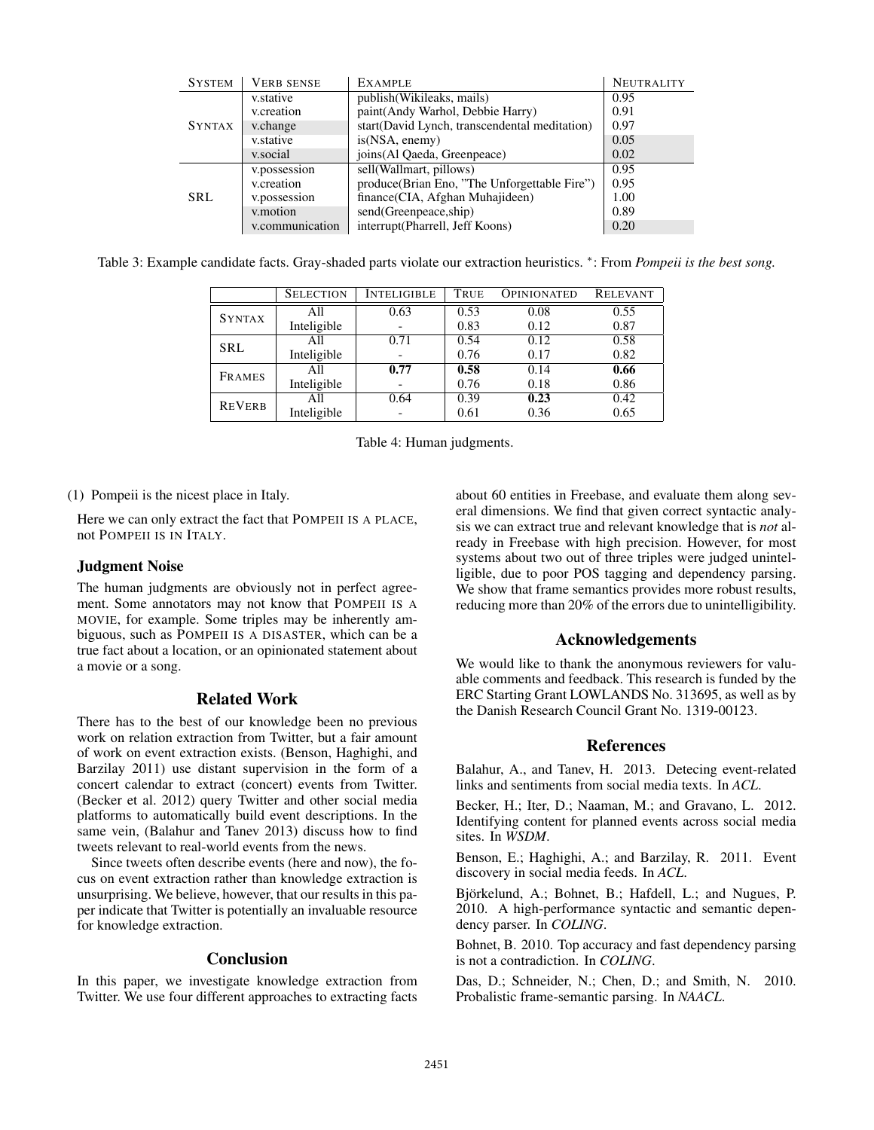| <b>SYSTEM</b> | <b>VERB SENSE</b> | <b>EXAMPLE</b>                                | <b>NEUTRALITY</b> |
|---------------|-------------------|-----------------------------------------------|-------------------|
| <b>SYNTAX</b> | v.stative         | publish (Wikileaks, mails)                    | 0.95              |
|               | v.creation        | paint(Andy Warhol, Debbie Harry)              | 0.91              |
|               | v.change          | start(David Lynch, transcendental meditation) | 0.97              |
|               | v.stative         | is(NSA, enemy)                                | 0.05              |
|               | v.social          | joins (Al Qaeda, Greenpeace)                  | 0.02              |
| SRL.          | v.possession      | sell(Wallmart, pillows)                       | 0.95              |
|               | v.creation        | produce(Brian Eno, "The Unforgettable Fire")  | 0.95              |
|               | v.possession      | finance(CIA, Afghan Muhajideen)               | 1.00              |
|               | v.motion          | send(Greenpeace,ship)                         | 0.89              |
|               | v.communication   | interrupt(Pharrell, Jeff Koons)               | 0.20              |

Table 3: Example candidate facts. Gray-shaded parts violate our extraction heuristics. <sup>∗</sup>: From *Pompeii is the best song.*

|               | <b>SELECTION</b> | <b>INTELIGIBLE</b> | True | <b>OPINIONATED</b> | <b>RELEVANT</b> |
|---------------|------------------|--------------------|------|--------------------|-----------------|
| <b>SYNTAX</b> | All              | 0.63               | 0.53 | 0.08               | 0.55            |
|               | Inteligible      |                    | 0.83 | 0.12               | 0.87            |
| <b>SRL</b>    | All              | 0.71               | 0.54 | 0.12               | 0.58            |
|               | Inteligible      |                    | 0.76 | 0.17               | 0.82            |
| <b>FRAMES</b> | All              | 0.77               | 0.58 | 0.14               | 0.66            |
|               | Inteligible      |                    | 0.76 | 0.18               | 0.86            |
| <b>REVERB</b> | All              | 0.64               | 0.39 | 0.23               | 0.42            |
|               | Inteligible      |                    | 0.61 | 0.36               | 0.65            |

Table 4: Human judgments.

(1) Pompeii is the nicest place in Italy.

Here we can only extract the fact that POMPEII IS A PLACE, not POMPEII IS IN ITALY.

### Judgment Noise

The human judgments are obviously not in perfect agreement. Some annotators may not know that POMPEII IS A MOVIE, for example. Some triples may be inherently ambiguous, such as POMPEII IS A DISASTER, which can be a true fact about a location, or an opinionated statement about a movie or a song.

# Related Work

There has to the best of our knowledge been no previous work on relation extraction from Twitter, but a fair amount of work on event extraction exists. (Benson, Haghighi, and Barzilay 2011) use distant supervision in the form of a concert calendar to extract (concert) events from Twitter. (Becker et al. 2012) query Twitter and other social media platforms to automatically build event descriptions. In the same vein, (Balahur and Tanev 2013) discuss how to find tweets relevant to real-world events from the news.

Since tweets often describe events (here and now), the focus on event extraction rather than knowledge extraction is unsurprising. We believe, however, that our results in this paper indicate that Twitter is potentially an invaluable resource for knowledge extraction.

#### Conclusion

In this paper, we investigate knowledge extraction from Twitter. We use four different approaches to extracting facts

about 60 entities in Freebase, and evaluate them along several dimensions. We find that given correct syntactic analysis we can extract true and relevant knowledge that is *not* already in Freebase with high precision. However, for most systems about two out of three triples were judged unintelligible, due to poor POS tagging and dependency parsing. We show that frame semantics provides more robust results, reducing more than 20% of the errors due to unintelligibility.

#### Acknowledgements

We would like to thank the anonymous reviewers for valuable comments and feedback. This research is funded by the ERC Starting Grant LOWLANDS No. 313695, as well as by the Danish Research Council Grant No. 1319-00123.

# References

Balahur, A., and Tanev, H. 2013. Detecing event-related links and sentiments from social media texts. In *ACL*.

Becker, H.; Iter, D.; Naaman, M.; and Gravano, L. 2012. Identifying content for planned events across social media sites. In *WSDM*.

Benson, E.; Haghighi, A.; and Barzilay, R. 2011. Event discovery in social media feeds. In *ACL*.

Björkelund, A.; Bohnet, B.; Hafdell, L.; and Nugues, P. 2010. A high-performance syntactic and semantic dependency parser. In *COLING*.

Bohnet, B. 2010. Top accuracy and fast dependency parsing is not a contradiction. In *COLING*.

Das, D.; Schneider, N.; Chen, D.; and Smith, N. 2010. Probalistic frame-semantic parsing. In *NAACL*.